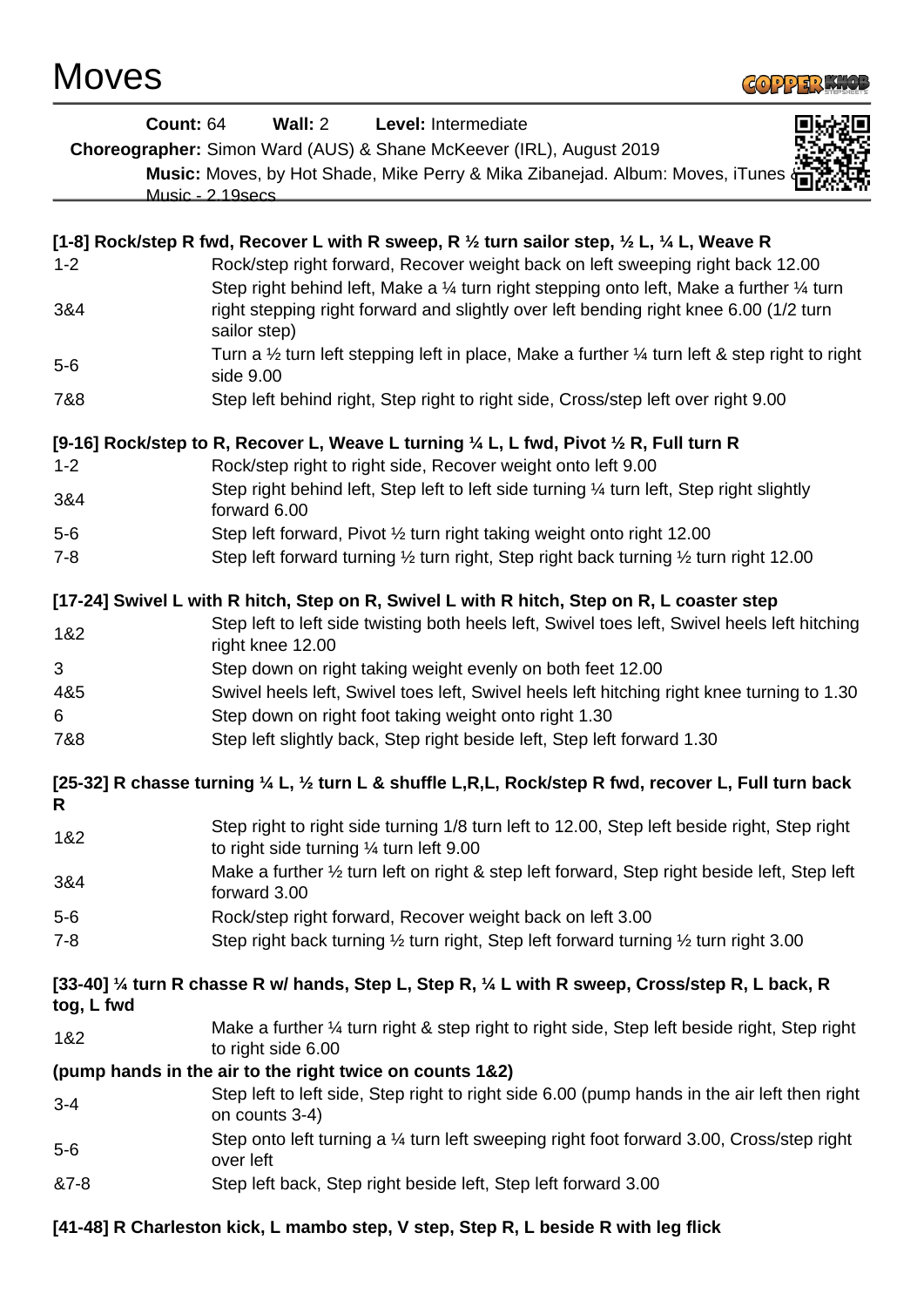

| <b>Count: 64</b>                                                                           | Wall: $2$                                                | Level: Intermediate                                                                                                        |  |
|--------------------------------------------------------------------------------------------|----------------------------------------------------------|----------------------------------------------------------------------------------------------------------------------------|--|
|                                                                                            |                                                          | <b>Choreographer:</b> Simon Ward (AUS) & Shane McKeever (IRL), August 2019                                                 |  |
|                                                                                            |                                                          | Music: Moves, by Hot Shade, Mike Perry & Mika Zibanejad. Album: Moves, iTunes                                              |  |
|                                                                                            | Music - 2.19secs                                         |                                                                                                                            |  |
|                                                                                            |                                                          |                                                                                                                            |  |
|                                                                                            |                                                          | [1-8] Rock/step R fwd, Recover L with R sweep, R $\frac{1}{2}$ turn sailor step, $\frac{1}{2}$ L, $\frac{1}{4}$ L, Weave R |  |
| $1 - 2$                                                                                    |                                                          | Rock/step right forward, Recover weight back on left sweeping right back 12.00                                             |  |
|                                                                                            |                                                          | Step right behind left, Make a 1/4 turn right stepping onto left, Make a further 1/4 turn                                  |  |
| 3&4                                                                                        | sailor step)                                             | right stepping right forward and slightly over left bending right knee 6.00 (1/2 turn                                      |  |
| $5-6$                                                                                      | side 9.00                                                | Turn a $\frac{1}{2}$ turn left stepping left in place, Make a further $\frac{1}{4}$ turn left & step right to right        |  |
| 7&8                                                                                        |                                                          | Step left behind right, Step right to right side, Cross/step left over right 9.00                                          |  |
|                                                                                            |                                                          | [9-16] Rock/step to R, Recover L, Weave L turning 1/4 L, L fwd, Pivot 1/2 R, Full turn R                                   |  |
| $1 - 2$                                                                                    |                                                          | Rock/step right to right side, Recover weight onto left 9.00                                                               |  |
|                                                                                            |                                                          | Step right behind left, Step left to left side turning 1/4 turn left, Step right slightly                                  |  |
| 3&4                                                                                        | forward 6.00                                             |                                                                                                                            |  |
| $5-6$                                                                                      |                                                          | Step left forward, Pivot 1/2 turn right taking weight onto right 12.00                                                     |  |
| $7 - 8$                                                                                    |                                                          | Step left forward turning 1/2 turn right, Step right back turning 1/2 turn right 12.00                                     |  |
| [17-24] Swivel L with R hitch, Step on R, Swivel L with R hitch, Step on R, L coaster step |                                                          |                                                                                                                            |  |
|                                                                                            |                                                          | Step left to left side twisting both heels left, Swivel toes left, Swivel heels left hitching                              |  |
| 1&2                                                                                        | right knee 12.00                                         |                                                                                                                            |  |
| 3                                                                                          |                                                          | Step down on right taking weight evenly on both feet 12.00                                                                 |  |
| 4&5                                                                                        |                                                          | Swivel heels left, Swivel toes left, Swivel heels left hitching right knee turning to 1.30                                 |  |
| 6                                                                                          |                                                          | Step down on right foot taking weight onto right 1.30                                                                      |  |
| 7&8                                                                                        |                                                          | Step left slightly back, Step right beside left, Step left forward 1.30                                                    |  |
|                                                                                            |                                                          | [25-32] R chasse turning 1/4 L, 1/2 turn L & shuffle L,R,L, Rock/step R fwd, recover L, Full turn back                     |  |
| R                                                                                          |                                                          |                                                                                                                            |  |
| 1&2                                                                                        | to right side turning $\frac{1}{4}$ turn left 9.00       | Step right to right side turning 1/8 turn left to 12.00, Step left beside right, Step right                                |  |
| 3&4                                                                                        | forward 3.00                                             | Make a further 1/2 turn left on right & step left forward, Step right beside left, Step left                               |  |
| $5-6$                                                                                      |                                                          | Rock/step right forward, Recover weight back on left 3.00                                                                  |  |
| $7 - 8$                                                                                    |                                                          | Step right back turning 1/2 turn right, Step left forward turning 1/2 turn right 3.00                                      |  |
| tog, L fwd                                                                                 |                                                          | [33-40] 1/4 turn R chasse R w/ hands, Step L, Step R, 1/4 L with R sweep, Cross/step R, L back, R                          |  |
| 1&2                                                                                        |                                                          | Make a further 1/4 turn right & step right to right side, Step left beside right, Step right                               |  |
|                                                                                            | to right side 6.00                                       |                                                                                                                            |  |
|                                                                                            | (pump hands in the air to the right twice on counts 1&2) |                                                                                                                            |  |
| $3 - 4$                                                                                    |                                                          | Step left to left side, Step right to right side 6.00 (pump hands in the air left then right                               |  |
|                                                                                            | on counts 3-4)                                           | Step onto left turning a 1/4 turn left sweeping right foot forward 3.00, Cross/step right                                  |  |
| $5-6$                                                                                      | over left                                                |                                                                                                                            |  |
| &7-8                                                                                       |                                                          | Step left back, Step right beside left, Step left forward 3.00                                                             |  |
|                                                                                            |                                                          | [41-48] R Charleston kick, L mambo step, V step, Step R, L beside R with leg flick                                         |  |